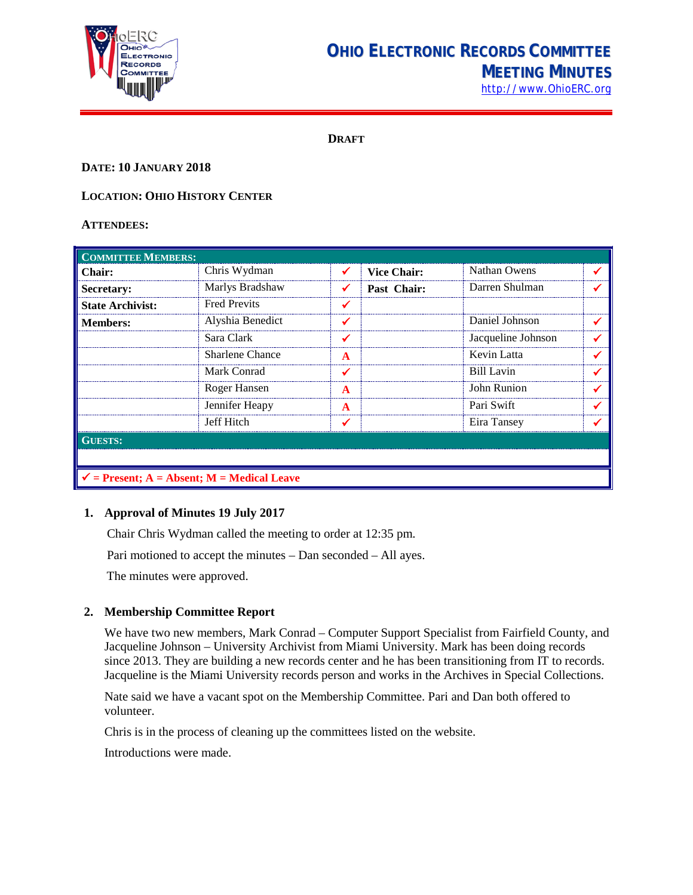

# **OHIO ELECTRONIC RECORDS COMMITTEE MEETING MINUTES**

[http://www.OhioERC.org](http://www.ohioerc.org/)

**DRAFT**

#### **DATE: 10 JANUARY 2018**

### **LOCATION: OHIO HISTORY CENTER**

#### **ATTENDEES:**

| <b>COMMITTEE MEMBERS:</b>                             |                     |   |                    |                    |  |  |
|-------------------------------------------------------|---------------------|---|--------------------|--------------------|--|--|
| Chair:                                                | Chris Wydman        |   | <b>Vice Chair:</b> | Nathan Owens       |  |  |
| Secretary:                                            | Marlys Bradshaw     |   | Past Chair:        | Darren Shulman     |  |  |
| <b>State Archivist:</b>                               | <b>Fred Previts</b> |   |                    |                    |  |  |
| <b>Members:</b>                                       | Alyshia Benedict    |   |                    | Daniel Johnson     |  |  |
|                                                       | Sara Clark          | ✔ |                    | Jacqueline Johnson |  |  |
|                                                       | Sharlene Chance     | A |                    | Kevin Latta        |  |  |
|                                                       | Mark Conrad         | ✔ |                    | Bill Lavin         |  |  |
|                                                       | Roger Hansen        | A |                    | John Runion        |  |  |
|                                                       | Jennifer Heapy      | A |                    | Pari Swift         |  |  |
|                                                       | Jeff Hitch          |   |                    | Eira Tansey        |  |  |
| <b>GUESTS:</b>                                        |                     |   |                    |                    |  |  |
|                                                       |                     |   |                    |                    |  |  |
| $\checkmark$ = Present; A = Absent; M = Medical Leave |                     |   |                    |                    |  |  |

## **1. Approval of Minutes 19 July 2017**

Chair Chris Wydman called the meeting to order at 12:35 pm.

Pari motioned to accept the minutes – Dan seconded – All ayes.

The minutes were approved.

# **2. Membership Committee Report**

We have two new members, Mark Conrad – Computer Support Specialist from Fairfield County, and Jacqueline Johnson – University Archivist from Miami University. Mark has been doing records since 2013. They are building a new records center and he has been transitioning from IT to records. Jacqueline is the Miami University records person and works in the Archives in Special Collections.

Nate said we have a vacant spot on the Membership Committee. Pari and Dan both offered to volunteer.

Chris is in the process of cleaning up the committees listed on the website.

Introductions were made.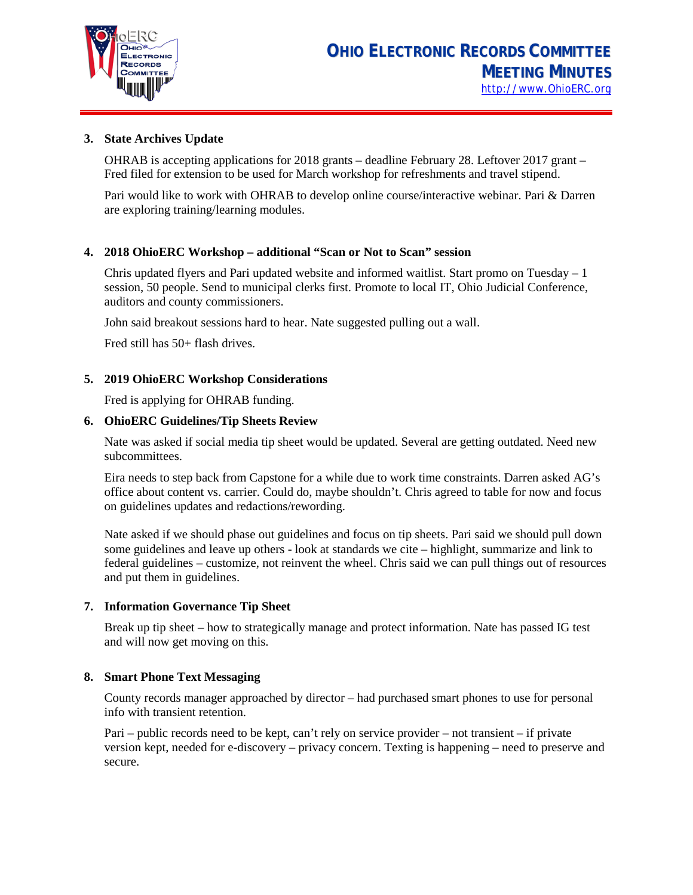

### **3. State Archives Update**

OHRAB is accepting applications for 2018 grants – deadline February 28. Leftover 2017 grant – Fred filed for extension to be used for March workshop for refreshments and travel stipend.

Pari would like to work with OHRAB to develop online course/interactive webinar. Pari & Darren are exploring training/learning modules.

#### **4. 2018 OhioERC Workshop – additional "Scan or Not to Scan" session**

Chris updated flyers and Pari updated website and informed waitlist. Start promo on Tuesday – 1 session, 50 people. Send to municipal clerks first. Promote to local IT, Ohio Judicial Conference, auditors and county commissioners.

John said breakout sessions hard to hear. Nate suggested pulling out a wall.

Fred still has 50+ flash drives.

## **5. 2019 OhioERC Workshop Considerations**

Fred is applying for OHRAB funding.

#### **6. OhioERC Guidelines/Tip Sheets Review**

Nate was asked if social media tip sheet would be updated. Several are getting outdated. Need new subcommittees.

Eira needs to step back from Capstone for a while due to work time constraints. Darren asked AG's office about content vs. carrier. Could do, maybe shouldn't. Chris agreed to table for now and focus on guidelines updates and redactions/rewording.

Nate asked if we should phase out guidelines and focus on tip sheets. Pari said we should pull down some guidelines and leave up others - look at standards we cite – highlight, summarize and link to federal guidelines – customize, not reinvent the wheel. Chris said we can pull things out of resources and put them in guidelines.

#### **7. Information Governance Tip Sheet**

Break up tip sheet – how to strategically manage and protect information. Nate has passed IG test and will now get moving on this.

#### **8. Smart Phone Text Messaging**

County records manager approached by director – had purchased smart phones to use for personal info with transient retention.

Pari – public records need to be kept, can't rely on service provider – not transient – if private version kept, needed for e-discovery – privacy concern. Texting is happening – need to preserve and secure.